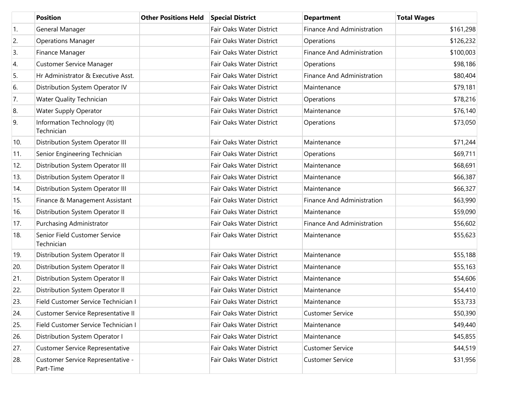|            | <b>Position</b>                                | <b>Other Positions Held</b> | <b>Special District</b>  | <b>Department</b>                 | <b>Total Wages</b> |
|------------|------------------------------------------------|-----------------------------|--------------------------|-----------------------------------|--------------------|
| $\vert$ 1. | General Manager                                |                             | Fair Oaks Water District | <b>Finance And Administration</b> | \$161,298          |
| 2.         | <b>Operations Manager</b>                      |                             | Fair Oaks Water District | Operations                        | \$126,232          |
| 3.         | Finance Manager                                |                             | Fair Oaks Water District | <b>Finance And Administration</b> | \$100,003          |
| 4.         | <b>Customer Service Manager</b>                |                             | Fair Oaks Water District | Operations                        | \$98,186           |
| 5.         | Hr Administrator & Executive Asst.             |                             | Fair Oaks Water District | <b>Finance And Administration</b> | \$80,404           |
| 6.         | Distribution System Operator IV                |                             | Fair Oaks Water District | Maintenance                       | \$79,181           |
| 7.         | <b>Water Quality Technician</b>                |                             | Fair Oaks Water District | Operations                        | \$78,216           |
| 8.         | <b>Water Supply Operator</b>                   |                             | Fair Oaks Water District | Maintenance                       | \$76,140           |
| 9.         | Information Technology (It)<br>Technician      |                             | Fair Oaks Water District | Operations                        | \$73,050           |
| 10.        | Distribution System Operator III               |                             | Fair Oaks Water District | Maintenance                       | \$71,244           |
| 11.        | Senior Engineering Technician                  |                             | Fair Oaks Water District | Operations                        | \$69,711           |
| 12.        | Distribution System Operator III               |                             | Fair Oaks Water District | Maintenance                       | \$68,691           |
| 13.        | Distribution System Operator II                |                             | Fair Oaks Water District | Maintenance                       | \$66,387           |
| 14.        | Distribution System Operator III               |                             | Fair Oaks Water District | Maintenance                       | \$66,327           |
| 15.        | Finance & Management Assistant                 |                             | Fair Oaks Water District | Finance And Administration        | \$63,990           |
| 16.        | Distribution System Operator II                |                             | Fair Oaks Water District | Maintenance                       | \$59,090           |
| 17.        | Purchasing Administrator                       |                             | Fair Oaks Water District | <b>Finance And Administration</b> | \$56,602           |
| 18.        | Senior Field Customer Service<br>Technician    |                             | Fair Oaks Water District | Maintenance                       | \$55,623           |
| 19.        | Distribution System Operator II                |                             | Fair Oaks Water District | Maintenance                       | \$55,188           |
| 20.        | Distribution System Operator II                |                             | Fair Oaks Water District | Maintenance                       | \$55,163           |
| 21.        | Distribution System Operator II                |                             | Fair Oaks Water District | Maintenance                       | \$54,606           |
| 22.        | Distribution System Operator II                |                             | Fair Oaks Water District | Maintenance                       | \$54,410           |
| 23.        | Field Customer Service Technician I            |                             | Fair Oaks Water District | Maintenance                       | \$53,733           |
| 24.        | Customer Service Representative II             |                             | Fair Oaks Water District | <b>Customer Service</b>           | \$50,390           |
| 25.        | Field Customer Service Technician I            |                             | Fair Oaks Water District | Maintenance                       | \$49,440           |
| 26.        | Distribution System Operator I                 |                             | Fair Oaks Water District | Maintenance                       | \$45,855           |
| 27.        | <b>Customer Service Representative</b>         |                             | Fair Oaks Water District | <b>Customer Service</b>           | \$44,519           |
| 28.        | Customer Service Representative -<br>Part-Time |                             | Fair Oaks Water District | <b>Customer Service</b>           | \$31,956           |